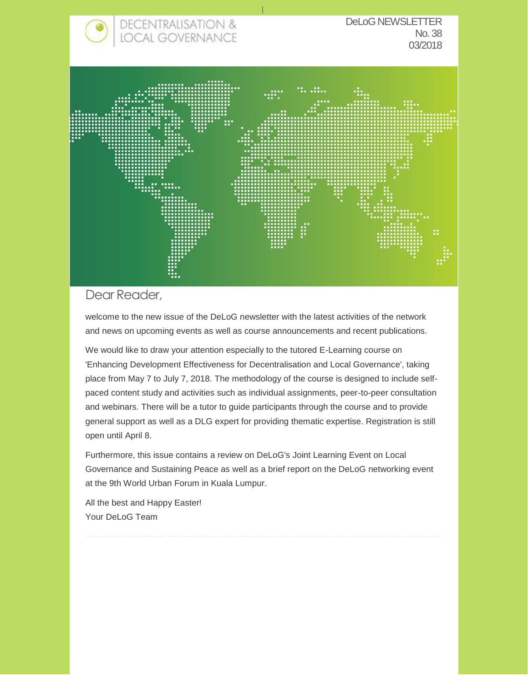

#### Dear Reader,

welcome to the new issue of the DeLoG newsletter with the latest activities of the network and news on upcoming events as well as course announcements and recent publications.

We would like to draw your attention especially to the tutored E-Learning course on 'Enhancing Development Effectiveness for Decentralisation and Local Governance', taking place from May 7 to July 7, 2018. The methodology of the course is designed to include selfpaced content study and activities such as individual assignments, peer-to-peer consultation and webinars. There will be a tutor to guide participants through the course and to provide general support as well as a DLG expert for providing thematic expertise. Registration is still open until April 8.

Furthermore, this issue contains a review on DeLoG's Joint Learning Event on Local Governance and Sustaining Peace as well as a brief report on the DeLoG networking event at the 9th World Urban Forum in Kuala Lumpur.

All the best and Happy Easter! Your DeLoG Team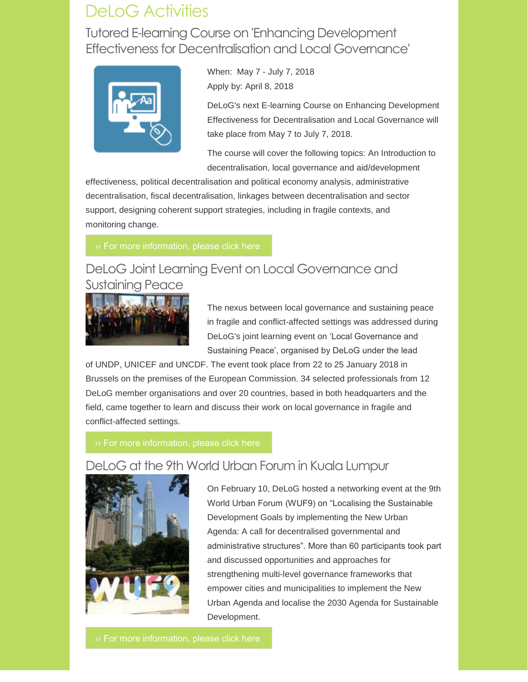# DeLoG Activities

Tutored E-learning Course on 'Enhancing Development Effectiveness for Decentralisation and Local Governance'



When: May 7 - July 7, 2018 Apply by: April 8, 2018

DeLoG's next E-learning Course on Enhancing Development Effectiveness for Decentralisation and Local Governance will take place from May 7 to July 7, 2018.

The course will cover the following topics: An Introduction to decentralisation, local governance and aid/development

effectiveness, political decentralisation and political economy analysis, administrative decentralisation, fiscal decentralisation, linkages between decentralisation and sector support, designing coherent support strategies, including in fragile contexts, and monitoring change.

## DeLoG Joint Learning Event on Local Governance and Sustaining Peace



The nexus between local governance and sustaining peace in fragile and conflict-affected settings was addressed during DeLoG's joint learning event on 'Local Governance and Sustaining Peace', organised by DeLoG under the lead

of UNDP, UNICEF and UNCDF. The event took place from 22 to 25 January 2018 in Brussels on the premises of the European Commission. 34 selected professionals from 12 DeLoG member organisations and over 20 countries, based in both headquarters and the field, came together to learn and discuss their work on local governance in fragile and conflict-affected settings.



## DeLoG at the 9th World Urban Forum in Kuala Lumpur

On February 10, DeLoG hosted a networking event at the 9th World Urban Forum (WUF9) on "Localising the Sustainable Development Goals by implementing the New Urban Agenda: A call for decentralised governmental and administrative structures". More than 60 participants took part and discussed opportunities and approaches for strengthening multi-level governance frameworks that empower cities and municipalities to implement the New Urban Agenda and localise the 2030 Agenda for Sustainable Development.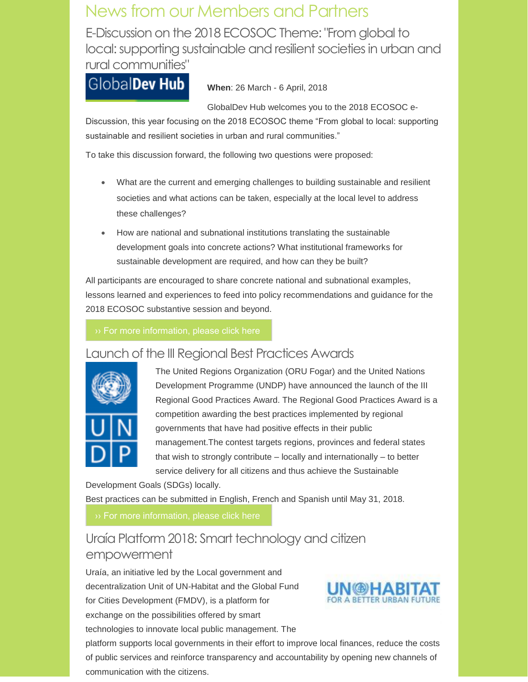# News from our Members and Partners

E-Discussion on the 2018 ECOSOC Theme: "From global to local: supporting sustainable and resilient societies in urban and rural communities"

# GlobalDev Hub

**When**: 26 March - 6 April, 2018

GlobalDev Hub welcomes you to the 2018 ECOSOC e-

Discussion, this year focusing on the 2018 ECOSOC theme "From global to local: supporting sustainable and resilient societies in urban and rural communities."

To take this discussion forward, the following two questions were proposed:

- What are the current and emerging challenges to building sustainable and resilient societies and what actions can be taken, especially at the local level to address these challenges?
- How are national and subnational institutions translating the sustainable development goals into concrete actions? What institutional frameworks for sustainable development are required, and how can they be built?

All participants are encouraged to share concrete national and subnational examples, lessons learned and experiences to feed into policy recommendations and guidance for the 2018 ECOSOC substantive session and beyond.

### Launch of the III Regional Best Practices Awards



The United Regions Organization (ORU Fogar) and the United Nations Development Programme (UNDP) have announced the launch of the III Regional Good Practices Award. The Regional Good Practices Award is a competition awarding the best practices implemented by regional governments that have had positive effects in their public management.The contest targets regions, provinces and federal states that wish to strongly contribute – locally and internationally – to better service delivery for all citizens and thus achieve the Sustainable

Development Goals (SDGs) locally. Best practices can be submitted in English, French and Spanish until May 31, 2018.

## Uraía Platform 2018: Smart technology and citizen empowerment

Uraía, an initiative led by the Local government and decentralization Unit of UN-Habitat and the Global Fund for Cities Development (FMDV), is a platform for exchange on the possibilities offered by smart technologies to innovate local public management. The



platform supports local governments in their effort to improve local finances, reduce the costs of public services and reinforce transparency and accountability by opening new channels of communication with the citizens.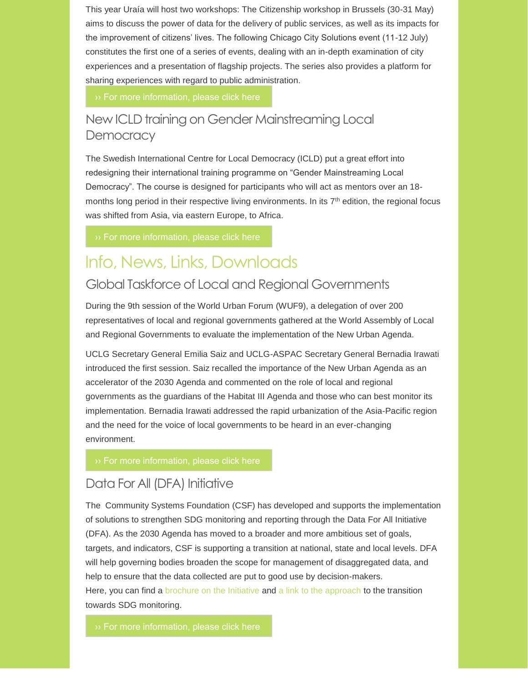This year Uraía will host two workshops: The Citizenship workshop in Brussels (30-31 May) aims to discuss the power of data for the delivery of public services, as well as its impacts for the improvement of citizens' lives. The following Chicago City Solutions event (11-12 July) constitutes the first one of a series of events, dealing with an in-depth examination of city experiences and a presentation of flagship projects. The series also provides a platform for sharing experiences with regard to public administration.

## New ICLD training on Gender Mainstreaming Local **Democracy**

The Swedish International Centre for Local Democracy (ICLD) put a great effort into redesigning their international training programme on "Gender Mainstreaming Local Democracy". The course is designed for participants who will act as mentors over an 18 months long period in their respective living environments. In its 7<sup>th</sup> edition, the regional focus was shifted from Asia, via eastern Europe, to Africa.

# Info, News, Links, Downloads

### Global Taskforce of Local and Regional Governments

During the 9th session of the World Urban Forum (WUF9), a delegation of over 200 representatives of local and regional governments gathered at the World Assembly of Local and Regional Governments to evaluate the implementation of the New Urban Agenda.

UCLG Secretary General Emilia Saiz and UCLG-ASPAC Secretary General Bernadia Irawati introduced the first session. Saiz recalled the importance of the New Urban Agenda as an accelerator of the 2030 Agenda and commented on the role of local and regional governments as the guardians of the Habitat III Agenda and those who can best monitor its implementation. Bernadia Irawati addressed the rapid urbanization of the Asia-Pacific region and the need for the voice of local governments to be heard in an ever-changing environment.

## Data For All (DFA) Initiative

The Community Systems Foundation (CSF) has developed and supports the implementation of solutions to strengthen SDG monitoring and reporting through the Data For All Initiative (DFA). As the 2030 Agenda has moved to a broader and more ambitious set of goals, targets, and indicators, CSF is supporting a transition at national, state and local levels. DFA will help governing bodies broaden the scope for management of disaggregated data, and help to ensure that the data collected are put to good use by decision-makers. Here, you can find a [brochure on the Initiative](http://delog.org/web/mailster/10262/00000000000000000000000000000000/aHR0cDovL2RlbG9nLm9yZy93ZWIvbWFpbHN0ZXIvMTAxODYvMDAwMDAwMDAwMDAwMDAwMDAwMDAwMDAwMDAwMDAwMDAvYUhSMGNITTZMeTkzZDNjdVkyOXRiWFZ1YVhSNWMzbHpkR1Z0YzJadmRXNWtZWFJwYjI0dWIzSm5MM1Z3Ykc5aFpITXZNUzg1THprdk1pOHhPVGt5TURJME55OWtabUZmWW5KdlkyaDFjbVZmY2pjdWNHUm0) and [a link to the approach](http://delog.org/web/mailster/10262/00000000000000000000000000000000/aHR0cDovL2RlbG9nLm9yZy93ZWIvbWFpbHN0ZXIvMTAxODYvMDAwMDAwMDAwMDAwMDAwMDAwMDAwMDAwMDAwMDAwMDAvYUhSMGNITTZMeTl0WVdsc1kyaHBMbTF3TDJOdmJXMTFibWwwZVhONWMzUmxiWE5tYjNWdVpHRjBhVzl1TG05eVp5OWpjMlp6TFdSaGRHRXRaSEpwZG1WdUxYTjBjbUYwWldkNUxXWnZjaTEwYUdVdGRISmhibk5wZEdsdmJpMW1jbTl0TFcxa1p5MTBieTF6WkdjdGJXOXVhWFJ2Y21sdVp3) to the transition towards SDG monitoring.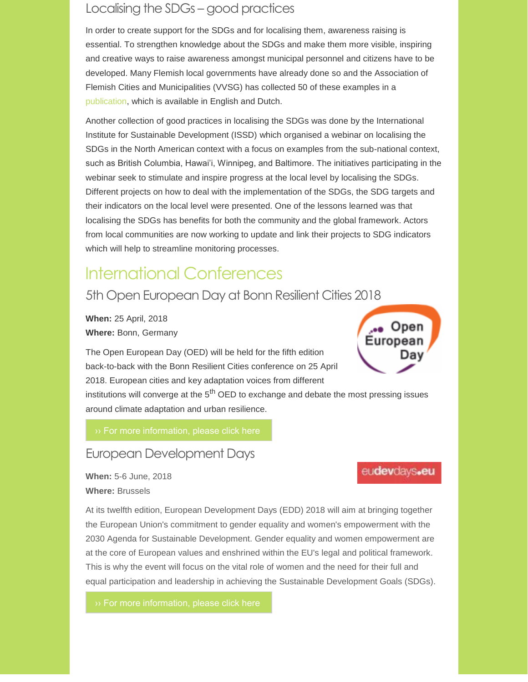## Localising the SDGs – good practices

In order to create support for the SDGs and for localising them, awareness raising is essential. To strengthen knowledge about the SDGs and make them more visible, inspiring and creative ways to raise awareness amongst municipal personnel and citizens have to be developed. Many Flemish local governments have already done so and the Association of Flemish Cities and Municipalities (VVSG) has collected 50 of these examples in a [publication,](http://delog.org/web/mailster/10262/00000000000000000000000000000000/aHR0cDovL2xvY2FsaXppbmd0aGVzZGdzLm9yZy9saWJyYXJ5L3ZpZXcvNDE0) which is available in English and Dutch.

Another collection of good practices in localising the SDGs was done by the International Institute for Sustainable Development (ISSD) which organised a webinar on localising the SDGs in the North American context with a focus on examples from the sub-national context, such as British Columbia, Hawai'i, Winnipeg, and Baltimore. The initiatives participating in the webinar seek to stimulate and inspire progress at the local level by localising the SDGs. Different projects on how to deal with the implementation of the SDGs, the SDG targets and their indicators on the local level were presented. One of the lessons learned was that localising the SDGs has benefits for both the community and the global framework. Actors from local communities are now working to update and link their projects to SDG indicators which will help to streamline monitoring processes.

# International Conferences

## 5th Open European Day at Bonn Resilient Cities 2018

**When:** 25 April, 2018 **Where:** Bonn, Germany

The Open European Day (OED) will be held for the fifth edition back-to-back with the Bonn Resilient Cities conference on 25 April 2018. European cities and key adaptation voices from different

institutions will converge at the  $5<sup>th</sup>$  OED to exchange and debate the most pressing issues around climate adaptation and urban resilience.

### European Development Days

**When:** 5-6 June, 2018 **Where:** Brussels

At its twelfth edition, European Development Days (EDD) 2018 will aim at bringing together the European Union's commitment to gender equality and women's empowerment with the 2030 Agenda for Sustainable Development. Gender equality and women empowerment are at the core of European values and enshrined within the EU's legal and political framework. This is why the event will focus on the vital role of women and the need for their full and equal participation and leadership in achieving the Sustainable Development Goals (SDGs).



eudevdays.eu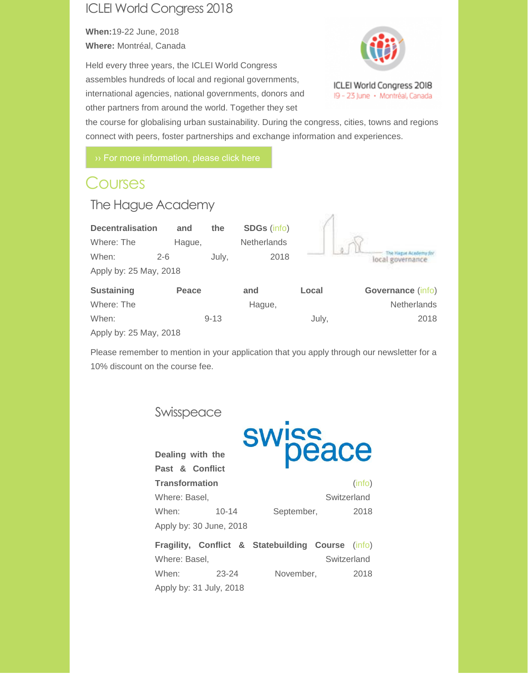## ICLEI World Congress 2018

**When:**19-22 June, 2018 **Where:** Montréal, Canada

Held every three years, the ICLEI World Congress assembles hundreds of local and regional governments, international agencies, national governments, donors and other partners from around the world. Together they set



the course for globalising urban sustainability. During the congress, cities, towns and regions connect with peers, foster partnerships and exchange information and experiences.

# **Courses**

### The Hague Academy

| <b>Decentralisation</b><br>Where: The<br>When:<br>Apply by: 25 May, 2018 | and<br>Hague,<br>$2 - 6$ | the<br>July, | <b>SDGs (info)</b><br>Netherlands<br>2018 |       |                    |
|--------------------------------------------------------------------------|--------------------------|--------------|-------------------------------------------|-------|--------------------|
| <b>Sustaining</b>                                                        | Peace                    |              | and                                       | Local | Governance (info)  |
| Where: The                                                               |                          |              | Hague,                                    |       | <b>Netherlands</b> |
| When:                                                                    |                          | $9 - 13$     |                                           | July. | 2018               |

Apply by: 25 May, 2018

Please remember to mention in your application that you apply through our newsletter for a 10% discount on the course fee.

### Swisspeace

**Dealing with the** 



| Past & Conflict         |           |            |             |
|-------------------------|-----------|------------|-------------|
| Transformation          |           |            | (info)      |
| Where: Basel,           |           |            | Switzerland |
| When:                   | $10 - 14$ | September, | 2018        |
| Apply by: 30 June, 2018 |           |            |             |

|                         |       |  | <b>Fragility, Conflict &amp; Statebuilding Course (info)</b> |             |      |  |
|-------------------------|-------|--|--------------------------------------------------------------|-------------|------|--|
| Where: Basel,           |       |  |                                                              | Switzerland |      |  |
| When:                   | 23-24 |  | November,                                                    |             | 2018 |  |
| Apply by: 31 July, 2018 |       |  |                                                              |             |      |  |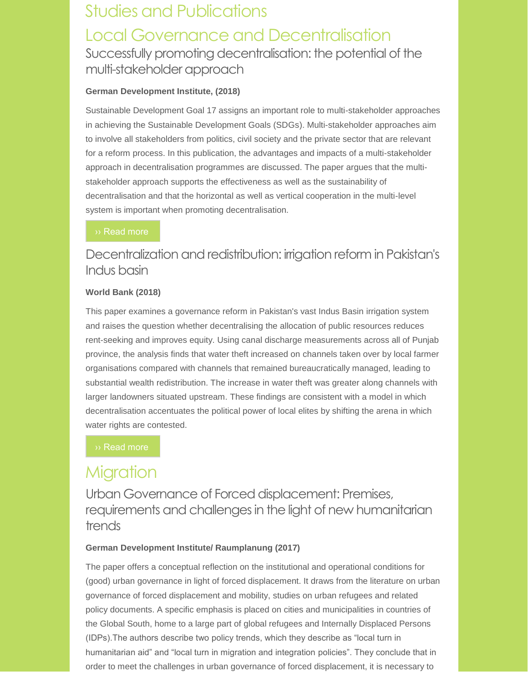# Studies and Publications Local Governance and Decentralisation Successfully promoting decentralisation: the potential of the multi-stakeholder approach

#### **German Development Institute, (2018)**

Sustainable Development Goal 17 assigns an important role to multi-stakeholder approaches in achieving the Sustainable Development Goals (SDGs). Multi-stakeholder approaches aim to involve all stakeholders from politics, civil society and the private sector that are relevant for a reform process. In this publication, the advantages and impacts of a multi-stakeholder approach in decentralisation programmes are discussed. The paper argues that the multistakeholder approach supports the effectiveness as well as the sustainability of decentralisation and that the horizontal as well as vertical cooperation in the multi-level system is important when promoting decentralisation.

## Decentralization and redistribution: irrigation reform in Pakistan's Indus basin

#### **World Bank (2018)**

This paper examines a governance reform in Pakistan's vast Indus Basin irrigation system and raises the question whether decentralising the allocation of public resources reduces rent-seeking and improves equity. Using canal discharge measurements across all of Punjab province, the analysis finds that water theft increased on channels taken over by local farmer organisations compared with channels that remained bureaucratically managed, leading to substantial wealth redistribution. The increase in water theft was greater along channels with larger landowners situated upstream. These findings are consistent with a model in which decentralisation accentuates the political power of local elites by shifting the arena in which water rights are contested.

# **Migration**

Urban Governance of Forced displacement: Premises, requirements and challenges in the light of new humanitarian trends

#### **German Development Institute/ Raumplanung (2017)**

The paper offers a conceptual reflection on the institutional and operational conditions for (good) urban governance in light of forced displacement. It draws from the literature on urban governance of forced displacement and mobility, studies on urban refugees and related policy documents. A specific emphasis is placed on cities and municipalities in countries of the Global South, home to a large part of global refugees and Internally Displaced Persons (IDPs).The authors describe two policy trends, which they describe as "local turn in humanitarian aid" and "local turn in migration and integration policies". They conclude that in order to meet the challenges in urban governance of forced displacement, it is necessary to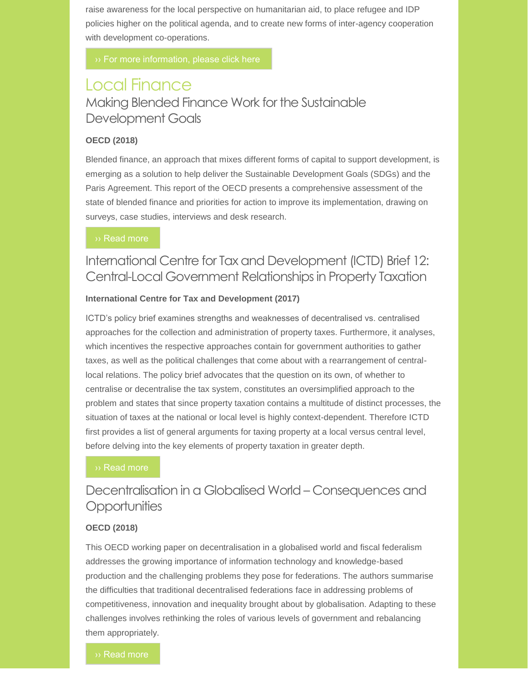raise awareness for the local perspective on humanitarian aid, to place refugee and IDP policies higher on the political agenda, and to create new forms of inter-agency cooperation with development co-operations.

## Local Finance Making Blended Finance Work for the Sustainable Development Goals

#### **OECD (2018)**

Blended finance, an approach that mixes different forms of capital to support development, is emerging as a solution to help deliver the Sustainable Development Goals (SDGs) and the Paris Agreement. This report of the OECD presents a comprehensive assessment of the state of blended finance and priorities for action to improve its implementation, drawing on surveys, case studies, interviews and desk research.

#### [›› Read more](http://delog.org/web/mailster/10262/00000000000000000000000000000000/aHR0cHM6Ly93d3cua2VlcGVlay5jb20vL0RpZ2l0YWwtQXNzZXQtTWFuYWdlbWVudC9vZWNkL2RldmVsb3BtZW50L21ha2luZy1ibGVuZGVkLWZpbmFuY2Utd29yay1mb3ItdGhlLXN1c3RhaW5hYmxlLWRldmVsb3BtZW50LWdvYWxzXzk3ODkyNjQyODg3NjgtZW4jLlduZ2t4T1NXeklVI3BhZ2Ux)

### International Centre for Tax and Development (ICTD) Brief 12: Central-Local Government Relationships in Property Taxation

#### **International Centre for Tax and Development (2017)**

ICTD's policy brief examines strengths and weaknesses of decentralised vs. centralised approaches for the collection and administration of property taxes. Furthermore, it analyses, which incentives the respective approaches contain for government authorities to gather taxes, as well as the political challenges that come about with a rearrangement of centrallocal relations. The policy brief advocates that the question on its own, of whether to centralise or decentralise the tax system, constitutes an oversimplified approach to the problem and states that since property taxation contains a multitude of distinct processes, the situation of taxes at the national or local level is highly context-dependent. Therefore ICTD first provides a list of general arguments for taxing property at a local versus central level, before delving into the key elements of property taxation in greater depth.

## Decentralisation in a Globalised World – Consequences and **Opportunities**

#### **OECD (2018)**

This OECD working paper on decentralisation in a globalised world and fiscal federalism addresses the growing importance of information technology and knowledge-based production and the challenging problems they pose for federations. The authors summarise the difficulties that traditional decentralised federations face in addressing problems of competitiveness, innovation and inequality brought about by globalisation. Adapting to these challenges involves rethinking the roles of various levels of government and rebalancing them appropriately.

#### [›› Read more](http://delog.org/web/mailster/10262/00000000000000000000000000000000/aHR0cDovL3d3dy5vZWNkLWlsaWJyYXJ5Lm9yZy90YXhhdGlvbi9kZWNlbnRyYWxpc2F0aW9uLWluLWEtZ2xvYmFsaXNlZC13b3JsZF9jZWFhYTliMC1lbg)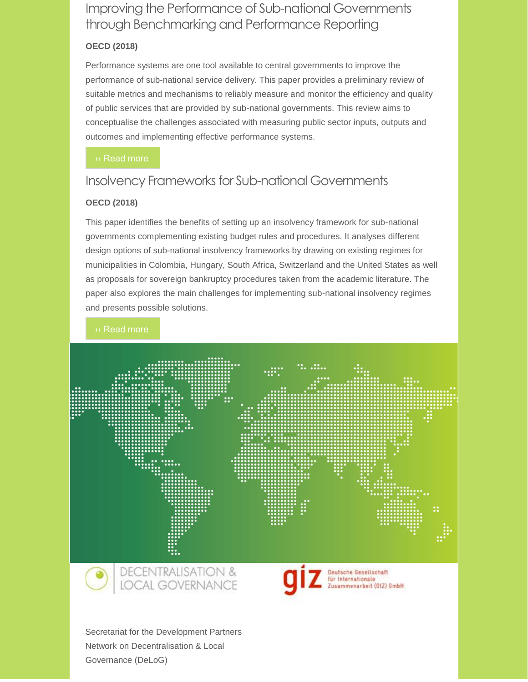## Improving the Performance of Sub-national Governments through Benchmarking and Performance Reporting

#### **OECD (2018)**

Performance systems are one tool available to central governments to improve the performance of sub-national service delivery. This paper provides a preliminary review of suitable metrics and mechanisms to reliably measure and monitor the efficiency and quality of public services that are provided by sub-national governments. This review aims to conceptualise the challenges associated with measuring public sector inputs, outputs and outcomes and implementing effective performance systems.

## Insolvency Frameworks for Sub-national Governments

#### **OECD (2018)**

This paper identifies the benefits of setting up an insolvency framework for sub-national governments complementing existing budget rules and procedures. It analyses different design options of sub-national insolvency frameworks by drawing on existing regimes for municipalities in Colombia, Hungary, South Africa, Switzerland and the United States as well as proposals for sovereign bankruptcy procedures taken from the academic literature. The paper also explores the main challenges for implementing sub-national insolvency regimes and presents possible solutions.

#### [›› Read more](http://delog.org/web/mailster/10262/00000000000000000000000000000000/aHR0cDovL3d3dy5vZWNkLWlsaWJyYXJ5Lm9yZy90YXhhdGlvbi9pbnNvbHZlbmN5LWZyYW1ld29ya3MtZm9yLXN1Yi1uYXRpb25hbC1nb3Zlcm5tZW50c19mOTg3NDEyMi1lbg)





Deutsche Geseilschaft<br>für Internationale<br>Zusammenarbeit (GIZ) GmbH

Secretariat for the Development Partners Network on Decentralisation & Local Governance (DeLoG)